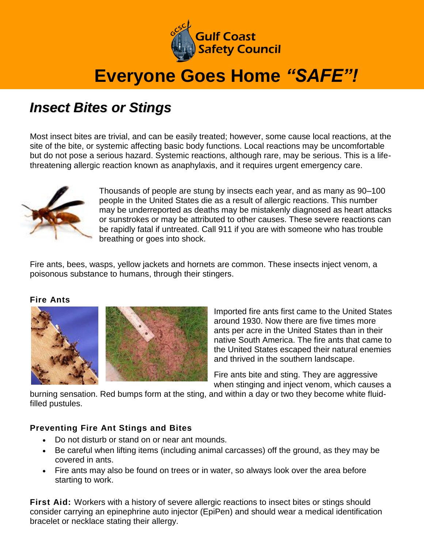

# **Everyone Goes Home** *"SAFE"!*

### *Insect Bites or Stings*

Most insect bites are trivial, and can be easily treated; however, some cause local reactions, at the site of the bite, or systemic affecting basic body functions. Local reactions may be uncomfortable but do not pose a serious hazard. Systemic reactions, although rare, may be serious. This is a lifethreatening allergic reaction known as anaphylaxis, and it requires urgent emergency care.



Thousands of people are stung by insects each year, and as many as 90–100 people in the United States die as a result of allergic reactions. This number may be underreported as deaths may be mistakenly diagnosed as heart attacks or sunstrokes or may be attributed to other causes. These severe reactions can be rapidly fatal if untreated. Call 911 if you are with someone who has trouble breathing or goes into shock.

Fire ants, bees, wasps, yellow jackets and hornets are common. These insects inject venom, a poisonous substance to humans, through their stingers.

### **Fire Ants**





Imported fire ants first came to the United States around 1930. Now there are five times more ants per acre in the United States than in their native South America. The fire ants that came to the United States escaped their natural enemies and thrived in the southern landscape.

Fire ants bite and sting. They are aggressive when stinging and inject venom, which causes a

burning sensation. Red bumps form at the sting, and within a day or two they become white fluidfilled pustules.

### **Preventing Fire Ant Stings and Bites**

- Do not disturb or stand on or near ant mounds.
- Be careful when lifting items (including animal carcasses) off the ground, as they may be covered in ants.
- Fire ants may also be found on trees or in water, so always look over the area before starting to work.

First Aid: Workers with a history of severe allergic reactions to insect bites or stings should consider carrying an epinephrine auto injector (EpiPen) and should wear a medical identification bracelet or necklace stating their allergy.